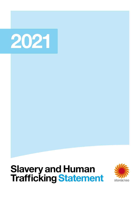# 2021

## Slavery and Human Trafficking Statement

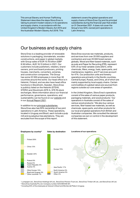This annual Slavery and Human Trafficking Statement describes the steps Stora Enso is taking to prevent modern slavery in its operations and supply chains, in accordance with the United Kingdom's Modern Slavery Act 2015 and the Australian Modern Slavery Act 2018. This

statement covers the global operations and supply chains of Stora Enso Oyj and its principal subsidiaries during the financial year that ended on 31 December 2021. It does not cover the Group's two 50%-owned joint operations in Latin America.

## Our business and supply chains

Stora Enso is a leading provider of renewable solutions in packaging, biomaterials, wooden constructions, and paper in global markets, with Group sales of EUR 10.16 billion (GBP 8.56 billion, AUD 16.15 billion) in 2021. Our customers include publishers, retailers, brand owners, print and board producers, printing houses, merchants, converters, joineries, and construction companies. The Group has some 22 000 employees in more than 30 countries around the world. Our head office is in Helsinki, Finland, and we also have head office functions in Stockholm, Sweden. Stora Enso is publicly listed on the Helsinki (STEAV, STERV) and Stockholm (STE A, STE R) stock exchanges. More information about our financial performance, governance, operations, and sustainability can be found on our [website](https://www.storaenso.com/) and in our [Annual Report 2021](https://www.storaenso.com/-/media/documents/download-center/documents/annual-reports/2021/storaenso_annual_report_2021.pdf).

In addition to our [principal subsidiaries](https://www.storaenso.com/-/media/documents/download-center/documents/annual-reports/2021/storaenso_annual_report_2021.pdf#page=110), Stora Enso also has 50% ownership of two joint operations in Latin America. These operations, located in Uruguay and Brazil, each include a pulp mill and eucalyptus tree plantations. They are excluded from the scope of this report.

Stora Enso sources raw materials, products, and services from over 20 000 suppliers and contractors and over 20 000 forest owners globally. Wood and fiber-based materials, such as pulp and Paper for Recycling (PfR), represent 53% of our total variable costs (2021), while chemicals, fillers, energy, fuels, spare parts, and maintenance, logistics, and IT services account for 47%. Our production units and forestry operations are primarily in the Nordic countries, Central Europe, Russia, and China, all of which are mainly supported by local supply chains. Certain commodities of a global nature are sourced from regions outside our core areas of operation.

In the United Kingdom, Stora Enso's operations consist of the sales of various paper products, packaging materials, and wood products.<sup>1</sup> Our operations in Australia consist of the sales of various wood products.<sup>2</sup> We also buy various services, fiber-based raw materials, as well as chemicals, spare parts, and other products for our local and global operations from British and Australian companies. We consulted the relevant companies we own or control in the development of this statement.



<sup>1</sup> Lumipaper Ltd., Stora Enso Holdings UK Ltd., Stora Enso Pension Trust Ltd., Stora Enso Timber UK Ltd., and Stora Enso UK Ltd. <sup>2</sup> Stora Enso Australia Pty Ltd. Company number ACN 099 948 491.

 $^{\text{3}}$  Including 50% of the employees at Veracel in Brazil and Montes del Plata in Uruguay.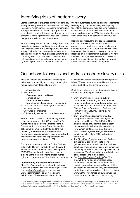## Identifying risks of modern slavery

Stora Enso strives to prevent all forms of modern-day slavery, including forced labour and human trafficking. Respect for human rights is Respecting human rights is integrated into our [sustainability approach](https://www.storaenso.com/en/sustainability) and is required to be taken into account throughout our operations, including investment decisions related to mergers, acquisitions, and divestments.4

While we recognise that modern slavery-related risks may exist in our own operations, we have determined that the greatest risk is in our complex and extensive supply chains that include supplier categories and geographies which we have identified as having high human rights risks. For this reason, we have taken a risk-based approach to addressing modern slavery by focusing our efforts on our supply chains.

We have automated our supplier risk assessments by integrating our sustainability risk mapping tool into the company's main sourcing reporting system. Based on a supplier's environmental, social, and governance (ESG) risk profile, they may be selected for a third-party sustainability audit.

Recycling services, land and sea transportation services, wood supply functions as well as outsourced production and temporary labour in some geographies have been identified as having heightened risk for modern slavery in our sector. Based on an in-depth internal evaluation, we have identified China, Russia, Poland, and the Baltic countries as our highest risk markets for forced labour within these sourcing categories.

## Our actions to assess and address modern slavery risks

While we respect and consider all human rights to be important, our highest priority human rights remain the primary focus of our work:

- Health and safety
- Fair labour
	- Fair employment conditions
	- Forced labour
	- Freedom of association
- Non-discrimination and non-harassment)
- Land and natural resource rights acquisition
- and management
- Grievance mechanisms
- Children's rights (relevant to the forest sector).

We continued to develop our human rights due diligence programme. In 2019 we identified 24 human rights-related development actions in Group function processes. Twenty-two of the actions were completed in 2020, and the two remaining actions were completed in 2021. Several policies and guidelines were updated and relaunched in this process; implementation of these changes was continued in 2021.

Through our membership in the Global Business Initiative for Human Rights (GBI) and the World Business Council for Sustainable Development (WBCSD) we continue to learn from peers and experts as the journey better to embed human rights into operations and due diligence continues.

## Implementing international standards

Stora Enso's pledge to combat modern slavery is publicly expressed in our [Human Rights Policy](https://www.storaenso.com/en/sustainability/policies-and-guidelines) and the [Stora Enso Code.](https://codeofconduct.storaenso.com) In addition, as a UN Global Compact signatory we adhere to Principle 4: "Business should uphold the

elimination of all forms of forced and compulsory labour." Zero tolerance for forced labour is also one of our highest priority human rights.

Our internal policies and requirements that cover human and labour rights include:

- Our [Human Rights Policy](https://www.storaenso.com/en/sustainability/policies-and-guidelines) sets out our commitment to ensuring respect for human rights throughout our operations and business relationships, in accordance with the United Nations Guiding Principles on Business and Human Rights (UNGPs). The Policy was updated in 2020.
- Our [Human Rights Guidelines](https://www.storaenso.com/-/media/documents/download-center/documents/sustainability/storaenso_human_rights_guidelines_2021.pdf) provide a comprehensive overview of the objectives defined in the Human Rights Policy. The guidelines also provide more details about our highest priority human rights and explain how human rights are integrated into our Sustainability Agenda. The guidelines were published externally in 2020 and updated in early 2022.
- The [Stora Enso Code](https://codeofconduct.storaenso.com) is a single set of values defined for all our employees to provide guidance on our approach to ethical business practices, environmental values, and human and labour rights. These values are applied wherever we operate. The Code explicitly prohibits the use of child labour and forced labour.
- Our [Supplier Code of Conduct](https://www.storaenso.com/en/suppliers/supplier-code-of-conduct) (SCoC) is a legally binding document that imposes mandatory sustainability requirements for suppliers regarding human and labour rights, occupational health and safety, environmental protection, and responsible business practices. Our SCoC covers forced labour and working conditions and applies to all our sourcing

4 Our investment guidelines stipulate that environmental and social risks and impacts, including those related to human rights, must be duly identified, assessed, and addressed prior to any investments in projects with business-critical risks. Business ethics risks and specific investment compliance with our Code of Conduct and Business Practice Policy are also assessed.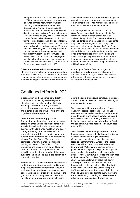categories globally. The SCoC was updated in 2020 with new requirements on involuntary labour and ethical recruitment practices, including not charging recruitment fees.

• Stora Enso's Minimum Human Resource Requirements are applicable to all employees directly employed by Stora Enso in units where Stora Enso is the majority owner. The Minimum Human Resource Requirements prohibit all forms of forced labour, including prison labour, indentured labour, bonded labour, and overtime work involving threats of punishment. They also state that all employees have the right to enter into and terminate their employment freely; that foreign/migrant employees must not be treated less favourably than local employees; and that all employees must have relevant and valid work and residence permits. The Minimum Requirements were updated in 2020.

#### Grievance and remediation mechanisms

Stora Enso is committed to remedy any situation where our activities have caused or contributed to adverse human rights impacts. In circumstances where human rights violations are committed by

## Continued efforts in 2021

In preparation for the upcoming EU directive on mandatory human rights due diligence Stora Enso carried out a number of initiatives including a workshop with key employees across the company and an external law firm and initiated a working group to help bring the organisation into compliance.

#### Developments in our supply chains

The monitoring of supplier compliance begins before we enter a business relationship. Any supplier in any location who wishes to do business with Stora Enso must first pre-qualify during tendering, or at the latest before a contract is drafted. To pre-qualify, suppliers must submit confirmation of their compliance with our Supplier Code of Conduct, and complete our safety management online training. At the end of 2021, 96%<sup>5</sup> of our supplier spend was covered by our Supplier Code of Conduct. Our suppliers are also asked to provide information about their own suppliers, including sub-suppliers operating in high-risk countries.

We conduct on-site visits and commission audits by third- party auditors to monitor and improve supplier sustainability performance. Focused audits are done based on risk assessments or concerns raised by our stakeholders. Due to the global pandemic, during 2021 the new normal way of operating was online auditing. In online

third parties directly linked to Stora Enso through our operations, products, or services, we strive to use our influence together with relevant stakeholders to ensure that those impacts are remedied.

Access to grievance mechanisms is one of Stora Enso's highest priority human rights. Our formal grievance mechanism is open to all stakeholders globally. The channel enables any stakeholder to report instances where their rights may have been infringed, or where they have observed potential violations of the Stora Enso Code, including those related to human and labour rights. This service is independently administered by an external service provider. We also have long-standing local grievance channels, in local languages, for communities and other external stakeholders associated with our plantations and mill in Guangxi, China.

Our Supplier Code of Conduct obliges our suppliers to report any non-compliance with the Code to Stora Enso, as well as to establish a grievance mechanism to enable their employees to report non-compliances.

audits the supplier site tours, employee interviews, and document reviews are conducted with digital communication tools.

We also carry out thorough reviews, or "deep dives," of specific supply chains. Deep dives combine desktop reviews and on-site visits to help us better understand specific supply chains and support suppliers in improving their operations, including topics related to modern slavery. Due to the pandemic, we were not able to conduct deep dives in 2021.

Stora Enso strives to develop the prevention and humane processing of potential human trafficking cases in connection to logistics services. Occasionally, people board our chartered sea logistics line from Central Europe to the Nordic countries without permission and undetected (stowaways). We have preventive practices in place to detect people in hiding. Our sea logistics suppliers did not record any such cases during 2021. However, in 2020 we recorded one such case of three people found hiding. Detailed records show that the people were treated with dignity and respect onboard and ensured a safe and humane return into the custody of local authorities when the vessel returned to Central Europe. In 2021, we had one case of seven people hiding in a truck delivering our goods in Belgium. They were discovered during unloading and all seven were released into the custody of the local police.

5 Joint operations, intellectual property rights (IPR), leasing fees, financial trading, government fees such as customs, and wood purchases from private individual forest owners are not included in our total supplier spend.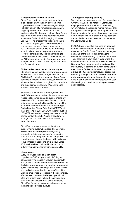### A responsible exit from Pakistan

Stora Enso continues to support six schools in cooperation with the non-governmental organisation Idara-e-Taleem-o-Aagahi (ITA) in Pakistan as part of a remediation programme targeting 640 children identified as child workers in 2015 in the supply chain of our former 35% minority holding in the equity accounted investment Bulleh Shah Packaging (Private) Ltd. (BSP). The programme will continue until 2023 when the youngest children complete compulsory primary school education. In 2021, the focus continued to be on providing vocational courses to prepare the students for future employability, including training to become an electrician, tailor or beautician, and for AC/refrigeration repair. Computer labs were set up to extend the skills training for both male and female students.

### Global initiatives to protect labour rights

Stora Enso signed a global framework agreement with labour unions IndustriAll, UniGlobal, and BWI in 2018. Under the agreement, Stora Enso commits to respect human rights, and strives to eliminate forced labour throughout its operations and subsidiaries worldwide. We continued to address these topics in 2021.

Stora Enso is a member of Sedex, one of the world's largest collaborative platforms for sharing responsible sourcing data on supply chains. By the end of 2021, 29 of 60 Stora Enso's production units were registered in Sedex. By the end of the year, 17 of the units had been audited through Sedex Member Ethical Data Audits (SMETA) at least once. As of June 2017, with the introduction of SMETA 6.0, modern slavery has been a specific component of the SMETA audit procedure. No findings of forced labour or human trafficking were discovered.

Stora Enso is also a member of the ethical supplier rating system Ecovadis. The Ecovadis assessment includes questions regarding corporate policies and actions for respecting human and labour rights in both a company's own operations and its supply chains, with particular focus on forced labour and child labour. Since 2017, we have been included in the top 1% of industry supplier performers in sustainability.

#### Living wages

Every other year, the global non-profit organisation BSR supports us in defining and calculating living wages in relevant locations. In 2021, more countries and locations were added to the living wage analyses and the study was carried out in 13 countries, including Brazil, China, Russia and the Baltic countries. As many as 95% of the Group's employees are located in these countries. Within these countries, the largest operational sites and offices were included, reaching a total of 44 locations globally. In all of the locations, Stora Enso's minimum compensation was above the living wage defined by BSR.

### Training and capacity building

We continue to raise awareness of modern slavery within Stora Enso. For instance, Stora Enso employees receive Stora Enso Code training, which includes a section on human rights, either through an e-learning tool, or through face-to-face training provided for those who do not have direct computer access. All managers in key positions are required to make a personal commitment to the Stora Enso Code.

In 2021, Stora Enso also launched an updated internal minimum labour standards e-learning designed at first for Stora Enso's unit managers, and all 68 of the targeted unit managers completed the e-learning by the end of the year. The e-learning is a key step in supporting the implementation of the updated Minimum Human Resource Requirements in all operations. The introductory e-learning on human rights and the deep dive on Sedex audits were completed by a group of 400 selected employees across the company during the year. In addition, the roll-out and awareness-raising of the updated supplier code of conduct continued throughout the year, via meetings and workshops with purchasers and suppliers.